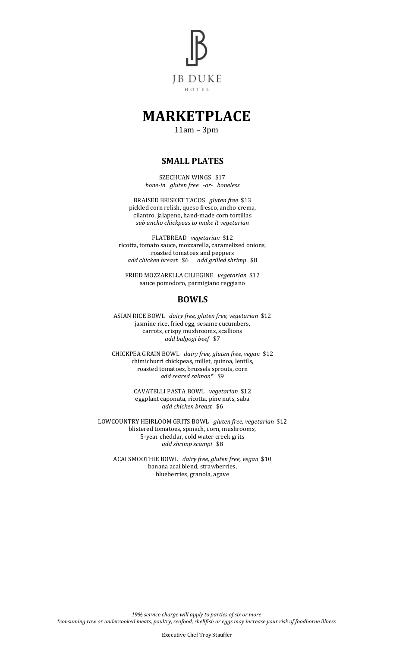

# **MARKETPLACE**

11am – 3pm

### **SMALL PLATES**

SZECHUAN WINGS \$17 *bone-in gluten free -or- boneless*

BRAISED BRISKET TACOS *gluten free* \$13 pickled corn relish, queso fresco, ancho crema, cilantro, jalapeno, hand-made corn tortillas *sub ancho chickpeas to make it vegetarian*

FLATBREAD *vegetarian* \$12 ricotta, tomato sauce, mozzarella, caramelized onions, roasted tomatoes and peppers *add chicken breast* \$6 *add grilled shrimp* \$8

FRIED MOZZARELLA CILIEGINE *vegetarian* \$12 sauce pomodoro, parmigiano reggiano

### **BOWLS**

ASIAN RICE BOWL *dairy free, gluten free, vegetarian* \$12 jasmine rice, fried egg, sesame cucumbers, carrots, crispy mushrooms, scallions *add bulgogi beef* \$7

CHICKPEA GRAIN BOWL *dairy free, gluten free, vegan* \$12 chimichurri chickpeas, millet, quinoa, lentils, roasted tomatoes, brussels sprouts, corn *add seared salmon\** \$9

> CAVATELLI PASTA BOWL *vegetarian* \$12 eggplant caponata, ricotta, pine nuts, saba *add chicken breast* \$6

LOWCOUNTRY HEIRLOOM GRITS BOWL *gluten free, vegetarian* \$12 blistered tomatoes, spinach, corn, mushrooms, 5-year cheddar, cold water creek grits *add shrimp scampi* \$8

ACAI SMOOTHIE BOWL *dairy free, gluten free, vegan* \$10 banana acai blend, strawberries, blueberries, granola, agave